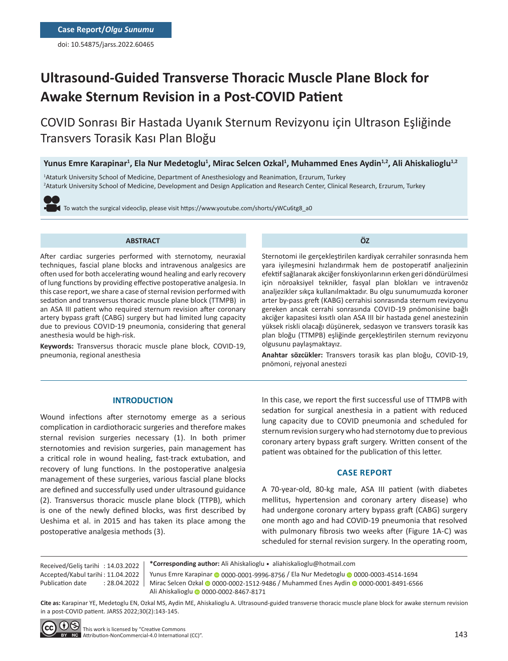doi: 10.54875/jarss.2022.60465

# **Ultrasound-Guided Transverse Thoracic Muscle Plane Block for Awake Sternum Revision in a Post-COVID Patient**

COVID Sonrası Bir Hastada Uyanık Sternum Revizyonu için Ultrason Eşliğinde Transvers Torasik Kası Plan Bloğu

Yunus Emre Karapinar<sup>1</sup>, Ela Nur Medetoglu<sup>1</sup>, Mirac Selcen Ozkal<sup>1</sup>, Muhammed Enes Aydin<sup>1,2</sup>, Ali Ahiskalioglu<sup>1,2</sup>

1 Ataturk University School of Medicine, Department of Anesthesiology and Reanimation, Erzurum, Turkey 2 Ataturk University School of Medicine, Development and Design Application and Research Center, Clinical Research, Erzurum, Turkey

To watch the surgical videoclip, please visit https://www.youtube.com/shorts/yWCu6tg8\_a0

#### **ABSTRACT**

After cardiac surgeries performed with sternotomy, neuraxial techniques, fascial plane blocks and intravenous analgesics are often used for both accelerating wound healing and early recovery of lung functions by providing effective postoperative analgesia. In this case report, we share a case of sternal revision performed with sedation and transversus thoracic muscle plane block (TTMPB) in an ASA III patient who required sternum revision after coronary artery bypass graft (CABG) surgery but had limited lung capacity due to previous COVID-19 pneumonia, considering that general anesthesia would be high-risk.

**Keywords:** Transversus thoracic muscle plane block, COVID-19, pneumonia, regional anesthesia

Sternotomi ile gerçekleştirilen kardiyak cerrahiler sonrasında hem yara iyileşmesini hızlandırmak hem de postoperatif analjezinin efektif sağlanarak akciğer fonskiyonlarının erken geri döndürülmesi için nöroaksiyel teknikler, fasyal plan blokları ve intravenöz analjezikler sıkça kullanılmaktadır. Bu olgu sunumumuzda koroner arter by-pass greft (KABG) cerrahisi sonrasında sternum revizyonu gereken ancak cerrahi sonrasında COVID-19 pnömonisine bağlı akciğer kapasitesi kısıtlı olan ASA III bir hastada genel anestezinin yüksek riskli olacağı düşünerek, sedasyon ve transvers torasik kas plan bloğu (TTMPB) eşliğinde gerçekleştirilen sternum revizyonu

**ÖZ**

**Anahtar sözcükler:** Transvers torasik kas plan bloğu, COVID-19, pnömoni, rejyonal anestezi

## **INTRODUCTION**

Wound infections after sternotomy emerge as a serious complication in cardiothoracic surgeries and therefore makes sternal revision surgeries necessary (1). In both primer sternotomies and revision surgeries, pain management has a critical role in wound healing, fast-track extubation, and recovery of lung functions. In the postoperative analgesia management of these surgeries, various fascial plane blocks are defined and successfully used under ultrasound guidance (2). Transversus thoracic muscle plane block (TTPB), which is one of the newly defined blocks, was first described by Ueshima et al. in 2015 and has taken its place among the postoperative analgesia methods (3).

In this case, we report the first successful use of TTMPB with sedation for surgical anesthesia in a patient with reduced lung capacity due to COVID pneumonia and scheduled for sternum revision surgery who had sternotomy due to previous coronary artery bypass graft surgery. Written consent of the patient was obtained for the publication of this letter.

## **CASE REPORT**

A 70-year-old, 80-kg male, ASA III patient (with diabetes mellitus, hypertension and coronary artery disease) who had undergone coronary artery bypass graft (CABG) surgery one month ago and had COVID-19 pneumonia that resolved with pulmonary fibrosis two weeks after (Figure 1A-C) was scheduled for sternal revision surgery. In the operating room,

Received/Geliş tarihi : 14.03.2022 Accepted/Kabul tarihi : 11.04.2022 Publication date : 28.04.2022 **\*Corresponding author:** Ali Ahiskalioglu • aliahiskalioglu@hotmail.com

Yunus Emre Karapi[na](https://orcid.org/0000-0002-1512-9486)r @ [00](https://orcid.org/0000-0001-8491-6566)00-0001-9996-8756 / Ela Nur Medetoglu @ 0000-0003-4514-1694

Mirac Selcen O[zka](https://orcid.org/0000-0002-8467-8171)l @ 0000-0002-1512-9486 / Muhammed Enes Aydin @ 0000-0001-8491-6566 Ali Ahiskalioglu @ 0000-0002-8467-8171

olgusunu paylaşmaktayız.

**Cite as:** Karapinar YE, Medetoglu EN, Ozkal MS, Aydin ME, Ahiskalioglu A. Ultrasound-guided transverse thoracic muscle plane block for awake sternum revision in a post-COVID patient. JARSS 2022;30(2):143-145.

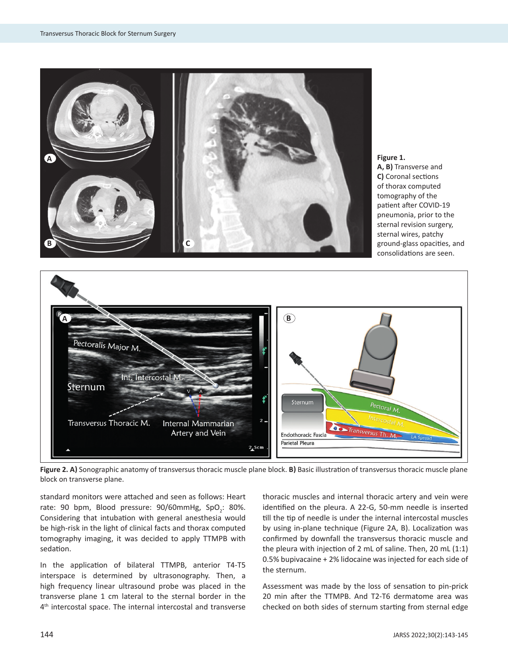





**Figure 2. A)** Sonographic anatomy of transversus thoracic muscle plane block. **B)** Basic illustration of transversus thoracic muscle plane block on transverse plane.

standard monitors were attached and seen as follows: Heart rate: 90 bpm, Blood pressure: 90/60mmHg, SpO<sub>2</sub>: 80%. Considering that intubation with general anesthesia would be high-risk in the light of clinical facts and thorax computed tomography imaging, it was decided to apply TTMPB with sedation.

In the application of bilateral TTMPB, anterior T4-T5 interspace is determined by ultrasonography. Then, a high frequency linear ultrasound probe was placed in the transverse plane 1 cm lateral to the sternal border in the 4<sup>th</sup> intercostal space. The internal intercostal and transverse

thoracic muscles and internal thoracic artery and vein were identified on the pleura. A 22-G, 50-mm needle is inserted till the tip of needle is under the internal intercostal muscles by using in-plane technique (Figure 2A, B). Localization was confirmed by downfall the transversus thoracic muscle and the pleura with injection of 2 mL of saline. Then, 20 mL (1:1) 0.5% bupivacaine + 2% lidocaine was injected for each side of the sternum.

Assessment was made by the loss of sensation to pin-prick 20 min after the TTMPB. And T2-T6 dermatome area was checked on both sides of sternum starting from sternal edge